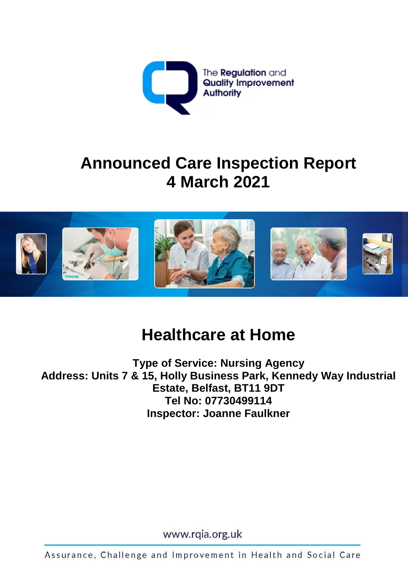

# **Announced Care Inspection Report 4 March 2021**



# **Healthcare at Home**

**Type of Service: Nursing Agency Address: Units 7 & 15, Holly Business Park, Kennedy Way Industrial Estate, Belfast, BT11 9DT Tel No: 07730499114 Inspector: Joanne Faulkner**

www.rqia.org.uk

Assurance, Challenge and Improvement in Health and Social Care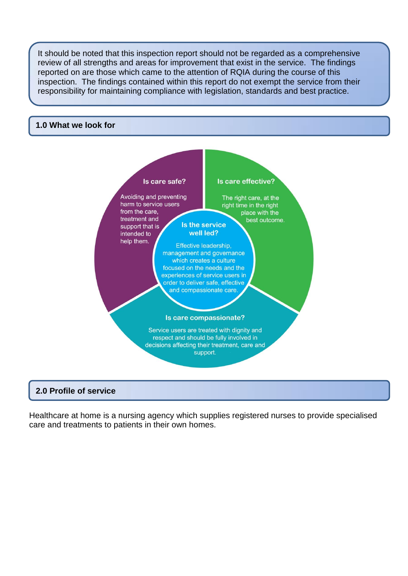It should be noted that this inspection report should not be regarded as a comprehensive review of all strengths and areas for improvement that exist in the service. The findings reported on are those which came to the attention of RQIA during the course of this inspection. The findings contained within this report do not exempt the service from their responsibility for maintaining compliance with legislation, standards and best practice.

#### **1.0 What we look for**



### **2.0 Profile of service**

Healthcare at home is a nursing agency which supplies registered nurses to provide specialised care and treatments to patients in their own homes.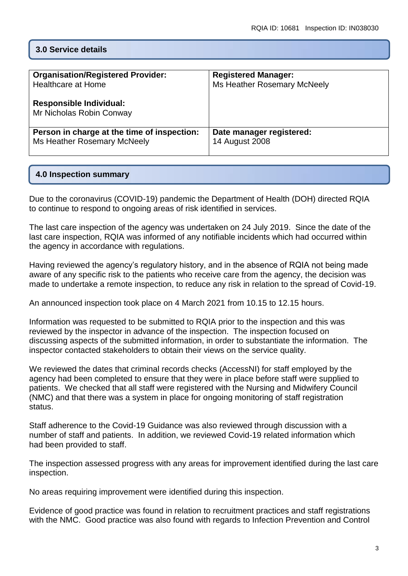#### **3.0 Service details**

| <b>Organisation/Registered Provider:</b>                   | <b>Registered Manager:</b>  |
|------------------------------------------------------------|-----------------------------|
| <b>Healthcare at Home</b>                                  | Ms Heather Rosemary McNeely |
| <b>Responsible Individual:</b><br>Mr Nicholas Robin Conway |                             |
| Person in charge at the time of inspection:                | Date manager registered:    |
| Ms Heather Rosemary McNeely                                | 14 August 2008              |

#### **4.0 Inspection summary**

Due to the coronavirus (COVID-19) pandemic the Department of Health (DOH) directed RQIA to continue to respond to ongoing areas of risk identified in services.

The last care inspection of the agency was undertaken on 24 July 2019. Since the date of the last care inspection, RQIA was informed of any notifiable incidents which had occurred within the agency in accordance with regulations.

Having reviewed the agency's regulatory history, and in the absence of RQIA not being made aware of any specific risk to the patients who receive care from the agency, the decision was made to undertake a remote inspection, to reduce any risk in relation to the spread of Covid-19.

An announced inspection took place on 4 March 2021 from 10.15 to 12.15 hours.

Information was requested to be submitted to RQIA prior to the inspection and this was reviewed by the inspector in advance of the inspection. The inspection focused on discussing aspects of the submitted information, in order to substantiate the information. The inspector contacted stakeholders to obtain their views on the service quality.

We reviewed the dates that criminal records checks (AccessNI) for staff employed by the agency had been completed to ensure that they were in place before staff were supplied to patients. We checked that all staff were registered with the Nursing and Midwifery Council (NMC) and that there was a system in place for ongoing monitoring of staff registration status.

Staff adherence to the Covid-19 Guidance was also reviewed through discussion with a number of staff and patients. In addition, we reviewed Covid-19 related information which had been provided to staff.

The inspection assessed progress with any areas for improvement identified during the last care inspection.

No areas requiring improvement were identified during this inspection.

Evidence of good practice was found in relation to recruitment practices and staff registrations with the NMC. Good practice was also found with regards to Infection Prevention and Control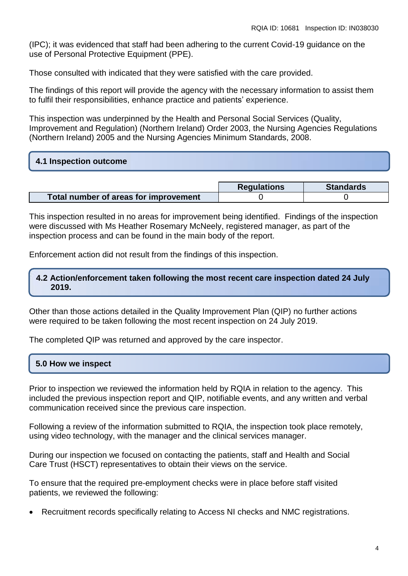(IPC); it was evidenced that staff had been adhering to the current Covid-19 guidance on the use of Personal Protective Equipment (PPE).

Those consulted with indicated that they were satisfied with the care provided.

The findings of this report will provide the agency with the necessary information to assist them to fulfil their responsibilities, enhance practice and patients' experience.

This inspection was underpinned by the Health and Personal Social Services (Quality, Improvement and Regulation) (Northern Ireland) Order 2003, the Nursing Agencies Regulations (Northern Ireland) 2005 and the Nursing Agencies Minimum Standards, 2008.

#### **4.1 Inspection outcome**

|                                       | <b>Regulations</b> | <b>Standards</b> |
|---------------------------------------|--------------------|------------------|
| Total number of areas for improvement |                    |                  |

This inspection resulted in no areas for improvement being identified. Findings of the inspection were discussed with Ms Heather Rosemary McNeely, registered manager, as part of the inspection process and can be found in the main body of the report.

Enforcement action did not result from the findings of this inspection.

### **4.2 Action/enforcement taken following the most recent care inspection dated 24 July 2019.**

Other than those actions detailed in the Quality Improvement Plan (QIP) no further actions were required to be taken following the most recent inspection on 24 July 2019.

The completed QIP was returned and approved by the care inspector.

### **5.0 How we inspect**

Prior to inspection we reviewed the information held by RQIA in relation to the agency. This included the previous inspection report and QIP, notifiable events, and any written and verbal communication received since the previous care inspection.

Following a review of the information submitted to RQIA, the inspection took place remotely, using video technology, with the manager and the clinical services manager.

During our inspection we focused on contacting the patients, staff and Health and Social Care Trust (HSCT) representatives to obtain their views on the service.

To ensure that the required pre-employment checks were in place before staff visited patients, we reviewed the following:

Recruitment records specifically relating to Access NI checks and NMC registrations.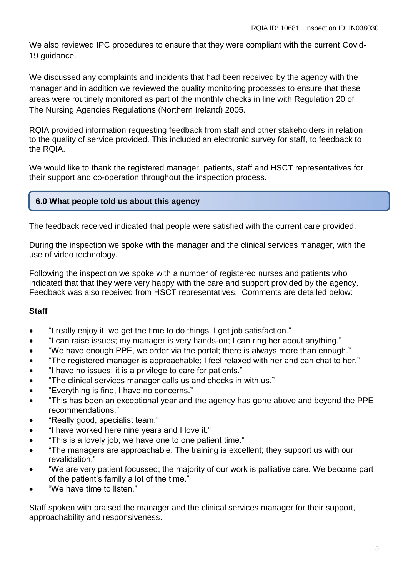We also reviewed IPC procedures to ensure that they were compliant with the current Covid-19 guidance.

We discussed any complaints and incidents that had been received by the agency with the manager and in addition we reviewed the quality monitoring processes to ensure that these areas were routinely monitored as part of the monthly checks in line with Regulation 20 of The Nursing Agencies Regulations (Northern Ireland) 2005.

RQIA provided information requesting feedback from staff and other stakeholders in relation to the quality of service provided. This included an electronic survey for staff, to feedback to the RQIA.

We would like to thank the registered manager, patients, staff and HSCT representatives for their support and co-operation throughout the inspection process.

## **6.0 What people told us about this agency**

The feedback received indicated that people were satisfied with the current care provided.

During the inspection we spoke with the manager and the clinical services manager, with the use of video technology.

Following the inspection we spoke with a number of registered nurses and patients who indicated that that they were very happy with the care and support provided by the agency. Feedback was also received from HSCT representatives. Comments are detailed below:

## **Staff**

- "I really enjoy it; we get the time to do things. I get job satisfaction."
- "I can raise issues; my manager is very hands-on; I can ring her about anything."
- "We have enough PPE, we order via the portal; there is always more than enough."
- "The registered manager is approachable; I feel relaxed with her and can chat to her."
- "I have no issues; it is a privilege to care for patients."
- "The clinical services manager calls us and checks in with us."
- "Everything is fine, I have no concerns."
- "This has been an exceptional year and the agency has gone above and beyond the PPE recommendations."
- "Really good, specialist team."
- "I have worked here nine years and I love it."
- "This is a lovely job; we have one to one patient time."
- "The managers are approachable. The training is excellent; they support us with our revalidation."
- "We are very patient focussed; the majority of our work is palliative care. We become part of the patient's family a lot of the time."
- "We have time to listen."

Staff spoken with praised the manager and the clinical services manager for their support, approachability and responsiveness.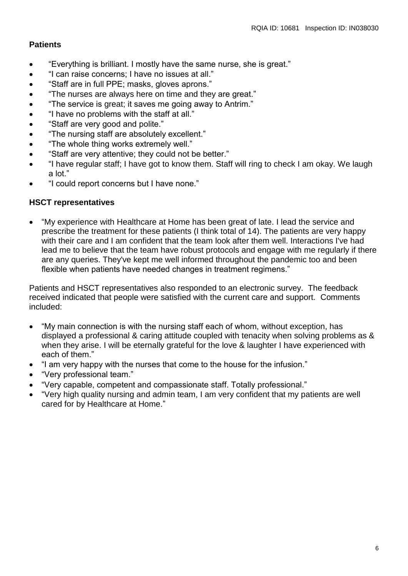## **Patients**

- "Everything is brilliant. I mostly have the same nurse, she is great."
- "I can raise concerns; I have no issues at all."
- "Staff are in full PPE; masks, gloves aprons."
- "The nurses are always here on time and they are great."
- "The service is great; it saves me going away to Antrim."
- "I have no problems with the staff at all."
- "Staff are very good and polite."
- "The nursing staff are absolutely excellent."
- "The whole thing works extremely well."
- "Staff are very attentive; they could not be better."
- "I have regular staff; I have got to know them. Staff will ring to check I am okay. We laugh a lot."
- "I could report concerns but I have none."

## **HSCT representatives**

 "My experience with Healthcare at Home has been great of late. I lead the service and prescribe the treatment for these patients (I think total of 14). The patients are very happy with their care and I am confident that the team look after them well. Interactions I've had lead me to believe that the team have robust protocols and engage with me regularly if there are any queries. They've kept me well informed throughout the pandemic too and been flexible when patients have needed changes in treatment regimens."

Patients and HSCT representatives also responded to an electronic survey. The feedback received indicated that people were satisfied with the current care and support. Comments included:

- "My main connection is with the nursing staff each of whom, without exception, has displayed a professional & caring attitude coupled with tenacity when solving problems as & when they arise. I will be eternally grateful for the love & laughter I have experienced with each of them."
- "I am very happy with the nurses that come to the house for the infusion."
- "Very professional team."
- "Very capable, competent and compassionate staff. Totally professional."
- "Very high quality nursing and admin team, I am very confident that my patients are well cared for by Healthcare at Home."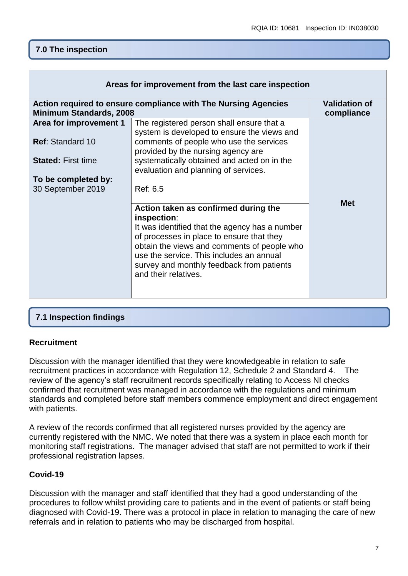# **7.0 The inspection**

| Areas for improvement from the last care inspection                                              |                                                                                                                                                                                                                                                             |                                    |  |
|--------------------------------------------------------------------------------------------------|-------------------------------------------------------------------------------------------------------------------------------------------------------------------------------------------------------------------------------------------------------------|------------------------------------|--|
| Action required to ensure compliance with The Nursing Agencies<br><b>Minimum Standards, 2008</b> |                                                                                                                                                                                                                                                             | <b>Validation of</b><br>compliance |  |
| Area for improvement 1                                                                           | The registered person shall ensure that a<br>system is developed to ensure the views and                                                                                                                                                                    |                                    |  |
| <b>Ref: Standard 10</b>                                                                          | comments of people who use the services<br>provided by the nursing agency are                                                                                                                                                                               |                                    |  |
| <b>Stated: First time</b>                                                                        | systematically obtained and acted on in the<br>evaluation and planning of services.                                                                                                                                                                         |                                    |  |
| To be completed by:                                                                              |                                                                                                                                                                                                                                                             |                                    |  |
| 30 September 2019                                                                                | Ref: 6.5                                                                                                                                                                                                                                                    |                                    |  |
|                                                                                                  | Action taken as confirmed during the<br>inspection:                                                                                                                                                                                                         | <b>Met</b>                         |  |
|                                                                                                  | It was identified that the agency has a number<br>of processes in place to ensure that they<br>obtain the views and comments of people who<br>use the service. This includes an annual<br>survey and monthly feedback from patients<br>and their relatives. |                                    |  |

## **7.1 Inspection findings**

### **Recruitment**

Discussion with the manager identified that they were knowledgeable in relation to safe recruitment practices in accordance with Regulation 12, Schedule 2 and Standard 4. The review of the agency's staff recruitment records specifically relating to Access NI checks confirmed that recruitment was managed in accordance with the regulations and minimum standards and completed before staff members commence employment and direct engagement with patients.

A review of the records confirmed that all registered nurses provided by the agency are currently registered with the NMC. We noted that there was a system in place each month for monitoring staff registrations. The manager advised that staff are not permitted to work if their professional registration lapses.

## **Covid-19**

Discussion with the manager and staff identified that they had a good understanding of the procedures to follow whilst providing care to patients and in the event of patients or staff being diagnosed with Covid-19. There was a protocol in place in relation to managing the care of new referrals and in relation to patients who may be discharged from hospital.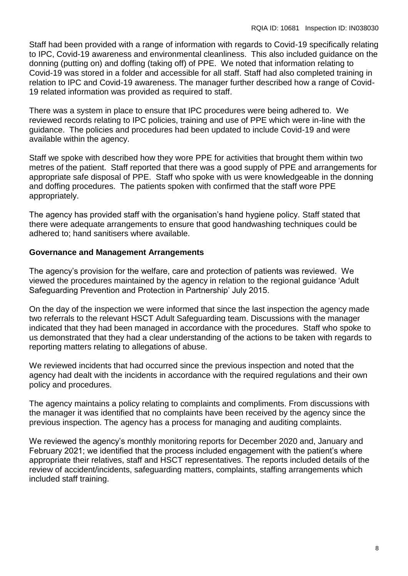Staff had been provided with a range of information with regards to Covid-19 specifically relating to IPC, Covid-19 awareness and environmental cleanliness. This also included guidance on the donning (putting on) and doffing (taking off) of PPE. We noted that information relating to Covid-19 was stored in a folder and accessible for all staff. Staff had also completed training in relation to IPC and Covid-19 awareness. The manager further described how a range of Covid-19 related information was provided as required to staff.

There was a system in place to ensure that IPC procedures were being adhered to. We reviewed records relating to IPC policies, training and use of PPE which were in-line with the guidance. The policies and procedures had been updated to include Covid-19 and were available within the agency.

Staff we spoke with described how they wore PPE for activities that brought them within two metres of the patient. Staff reported that there was a good supply of PPE and arrangements for appropriate safe disposal of PPE. Staff who spoke with us were knowledgeable in the donning and doffing procedures. The patients spoken with confirmed that the staff wore PPE appropriately.

The agency has provided staff with the organisation's hand hygiene policy. Staff stated that there were adequate arrangements to ensure that good handwashing techniques could be adhered to; hand sanitisers where available.

## **Governance and Management Arrangements**

The agency's provision for the welfare, care and protection of patients was reviewed. We viewed the procedures maintained by the agency in relation to the regional guidance 'Adult Safeguarding Prevention and Protection in Partnership' July 2015.

On the day of the inspection we were informed that since the last inspection the agency made two referrals to the relevant HSCT Adult Safeguarding team. Discussions with the manager indicated that they had been managed in accordance with the procedures. Staff who spoke to us demonstrated that they had a clear understanding of the actions to be taken with regards to reporting matters relating to allegations of abuse.

We reviewed incidents that had occurred since the previous inspection and noted that the agency had dealt with the incidents in accordance with the required regulations and their own policy and procedures.

The agency maintains a policy relating to complaints and compliments. From discussions with the manager it was identified that no complaints have been received by the agency since the previous inspection. The agency has a process for managing and auditing complaints.

We reviewed the agency's monthly monitoring reports for December 2020 and, January and February 2021; we identified that the process included engagement with the patient's where appropriate their relatives, staff and HSCT representatives. The reports included details of the review of accident/incidents, safeguarding matters, complaints, staffing arrangements which included staff training.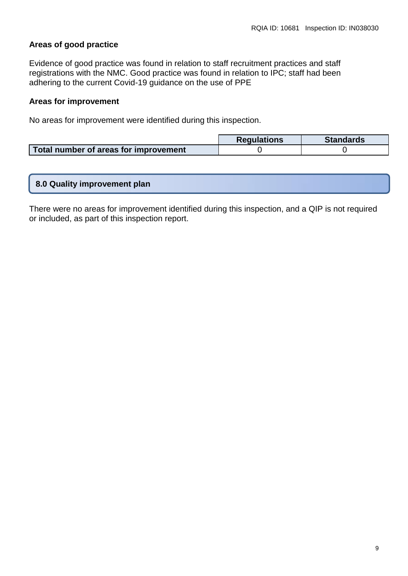## **Areas of good practice**

Evidence of good practice was found in relation to staff recruitment practices and staff registrations with the NMC. Good practice was found in relation to IPC; staff had been adhering to the current Covid-19 guidance on the use of PPE

#### **Areas for improvement**

No areas for improvement were identified during this inspection.

|                                       | <b>Requlations</b> | <b>Standards</b> |
|---------------------------------------|--------------------|------------------|
| Total number of areas for improvement |                    |                  |

|  | 8.0 Quality improvement plan |
|--|------------------------------|
|--|------------------------------|

There were no areas for improvement identified during this inspection, and a QIP is not required or included, as part of this inspection report.